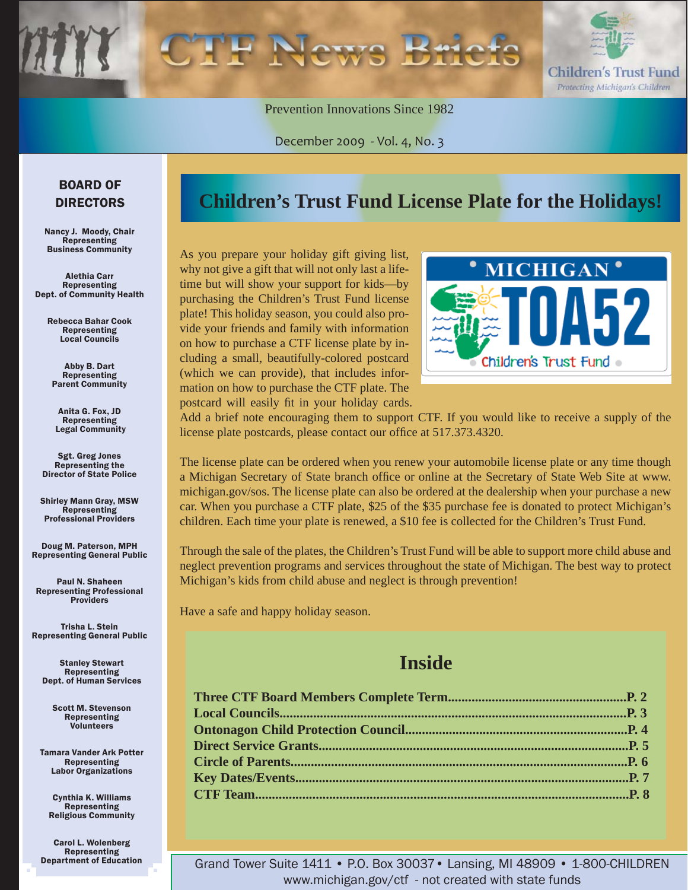

Prevention Innovations Since 1982

December 2009 - Vol. 4, No. 3

#### BOARD OF DIRECTORS

Nancy J. Moody, Chair **Representing** Business Community

Alethia Carr Representing Dept. of Community Health

> Rebecca Bahar Cook Representing Local Councils

Abby B. Dart Representing Parent Community

Anita G. Fox, JD Representing Legal Community

Sgt. Greg Jones Representing the Director of State Police

Shirley Mann Gray, MSW Representing Professional Providers

Doug M. Paterson, MPH Representing General Public

Paul N. Shaheen Representing Professional **Providers** 

Trisha L. Stein Representing General Public

Stanley Stewart Representing Dept. of Human Services

> Scott M. Stevenson Representing Volunteers

Tamara Vander Ark Potter Representing Labor Organizations

Cynthia K. Williams Representing Religious Community

Carol L. Wolenberg Representing Department of Education

### **Children's Trust Fund License Plate for the Holidays!**

As you prepare your holiday gift giving list, why not give a gift that will not only last a lifetime but will show your support for kids—by purchasing the Children's Trust Fund license plate! This holiday season, you could also provide your friends and family with information on how to purchase a CTF license plate by including a small, beautifully-colored postcard (which we can provide), that includes information on how to purchase the CTF plate. The postcard will easily fit in your holiday cards.



Add a brief note encouraging them to support CTF. If you would like to receive a supply of the license plate postcards, please contact our office at 517.373.4320.

The license plate can be ordered when you renew your automobile license plate or any time though a Michigan Secretary of State branch office or online at the Secretary of State Web Site at www. michigan.gov/sos. The license plate can also be ordered at the dealership when your purchase a new car. When you purchase a CTF plate, \$25 of the \$35 purchase fee is donated to protect Michigan's children. Each time your plate is renewed, a \$10 fee is collected for the Children's Trust Fund.

Through the sale of the plates, the Children's Trust Fund will be able to support more child abuse and neglect prevention programs and services throughout the state of Michigan. The best way to protect Michigan's kids from child abuse and neglect is through prevention!

Have a safe and happy holiday season.

### **Inside**

Grand Tower Suite 1411 • P.O. Box 30037• Lansing, MI 48909 • 1-800-CHILDREN www.michigan.gov/ctf - not created with state funds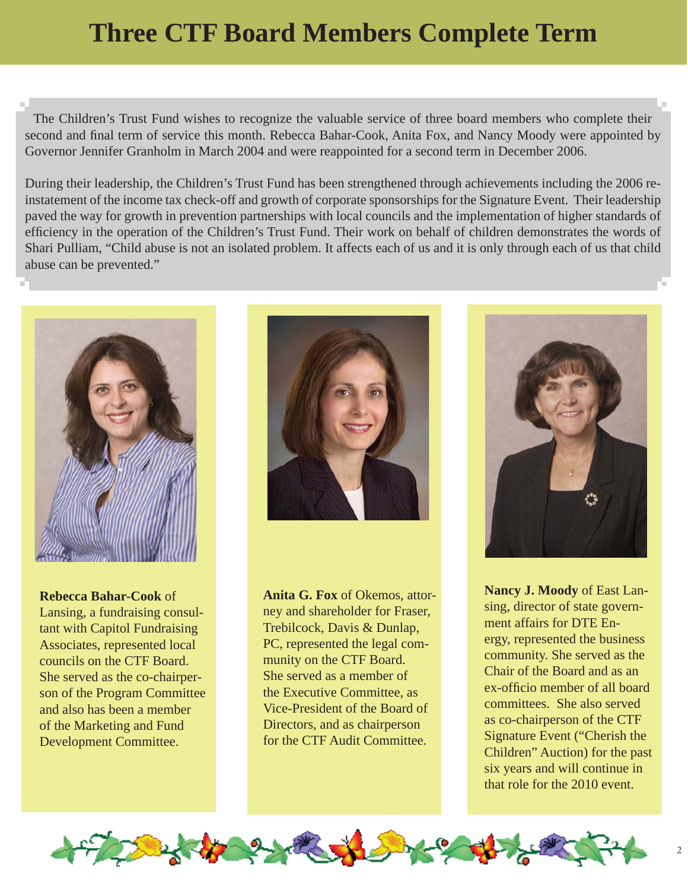### <span id="page-1-0"></span>**Three CTF Board Members Complete Term**

The Children's Trust Fund wishes to recognize the valuable service of three board members who complete their second and final term of service this month. Rebecca Bahar-Cook, Anita Fox, and Nancy Moody were appointed by Governor Jennifer Granholm in March 2004 and were reappointed for a second term in December 2006.

During their leadership, the Children's Trust Fund has been strengthened through achievements including the 2006 reinstatement of the income tax check-off and growth of corporate sponsorships for the Signature Event. Their leadership paved the way for growth in prevention partnerships with local councils and the implementation of higher standards of efficiency in the operation of the Children's Trust Fund. Their work on behalf of children demonstrates the words of Shari Pulliam, "Child abuse is not an isolated problem. It affects each of us and it is only through each of us that child abuse can be prevented."



**Rebecca Bahar-Cook** of Lansing, a fundraising consultant with Capitol Fundraising Associates, represented local councils on the CTF Board. She served as the co-chairperson of the Program Committee and also has been a member of the Marketing and Fund Development Committee.



**Anita G. Fox** of Okemos, attorney and shareholder for Fraser, Trebilcock, Davis & Dunlap, PC, represented the legal community on the CTF Board. She served as a member of the Executive Committee, as Vice-President of the Board of Directors, and as chairperson for the CTF Audit Committee.



**Nancy J. Moody** of East Lansing, director of state government affairs for DTE Energy, represented the business community. She served as the Chair of the Board and as an ex-officio member of all board committees. She also served as co-chairperson of the CTF Signature Event ("Cherish the Children" Auction) for the past six years and will continue in that role for the 2010 event.

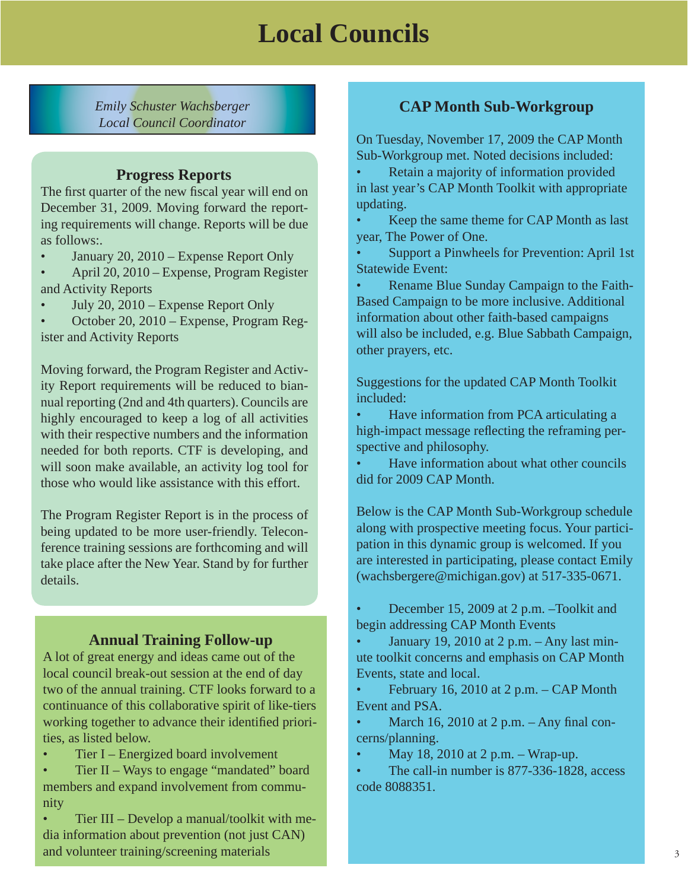### **Local Councils**

<span id="page-2-0"></span>*Emily Schuster Wachsberger Local Council Coordinator*

#### **Progress Reports**

The first quarter of the new fiscal year will end on December 31, 2009. Moving forward the reporting requirements will change. Reports will be due as follows:.

- January 20, 2010 Expense Report Only
- April 20, 2010 Expense, Program Register and Activity Reports
- July 20, 2010 Expense Report Only

• October 20, 2010 – Expense, Program Register and Activity Reports

Moving forward, the Program Register and Activity Report requirements will be reduced to biannual reporting (2nd and 4th quarters). Councils are highly encouraged to keep a log of all activities with their respective numbers and the information needed for both reports. CTF is developing, and will soon make available, an activity log tool for those who would like assistance with this effort.

The Program Register Report is in the process of being updated to be more user-friendly. Teleconference training sessions are forthcoming and will take place after the New Year. Stand by for further details.

#### **Annual Training Follow-up**

A lot of great energy and ideas came out of the local council break-out session at the end of day two of the annual training. CTF looks forward to a continuance of this collaborative spirit of like-tiers working together to advance their identified priorities, as listed below.

• Tier I – Energized board involvement

• Tier II – Ways to engage "mandated" board members and expand involvement from community

• Tier III – Develop a manual/toolkit with media information about prevention (not just CAN) and volunteer training/screening materials

#### **CAP Month Sub-Workgroup**

On Tuesday, November 17, 2009 the CAP Month Sub-Workgroup met. Noted decisions included:

• Retain a majority of information provided in last year's CAP Month Toolkit with appropriate updating.

• Keep the same theme for CAP Month as last year, The Power of One.

• Support a Pinwheels for Prevention: April 1st Statewide Event:

• Rename Blue Sunday Campaign to the Faith-Based Campaign to be more inclusive. Additional information about other faith-based campaigns will also be included, e.g. Blue Sabbath Campaign, other prayers, etc.

Suggestions for the updated CAP Month Toolkit included:

• Have information from PCA articulating a high-impact message reflecting the reframing perspective and philosophy.

• Have information about what other councils did for 2009 CAP Month.

Below is the CAP Month Sub-Workgroup schedule along with prospective meeting focus. Your participation in this dynamic group is welcomed. If you are interested in participating, please contact Emily (wachsbergere@michigan.gov) at 517-335-0671.

• December 15, 2009 at 2 p.m. –Toolkit and begin addressing CAP Month Events

January 19, 2010 at  $2$  p.m.  $-$  Any last minute toolkit concerns and emphasis on CAP Month Events, state and local.

February 16, 2010 at 2 p.m.  $-$  CAP Month Event and PSA.

• March 16, 2010 at 2 p.m.  $-$  Any final concerns/planning.

• May 18, 2010 at  $2 p.m. - Wrap-up.$ 

The call-in number is 877-336-1828, access code 8088351.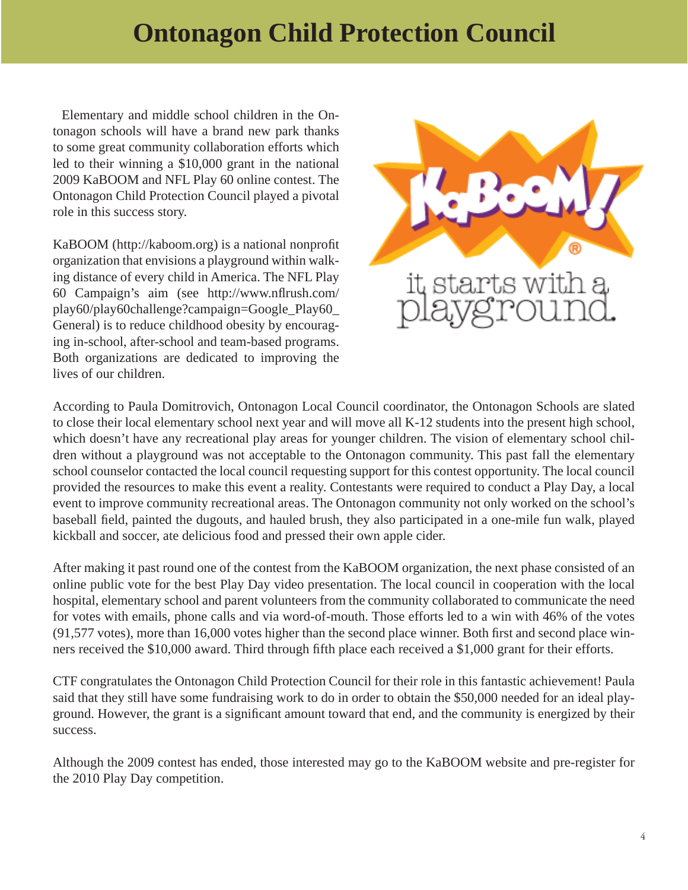### **Ontonagon Child Protection Council**

<span id="page-3-0"></span> Elementary and middle school children in the Ontonagon schools will have a brand new park thanks to some great community collaboration efforts which led to their winning a \$10,000 grant in the national 2009 KaBOOM and NFL Play 60 online contest. The Ontonagon Child Protection Council played a pivotal role in this success story.

KaBOOM (http://kaboom.org) is a national nonprofit organization that envisions a playground within walking distance of every child in America. The NFL Play 60 Campaign's aim (see [http://www.n](http://www.nflrush.com/play60)flrush.com/ play60/play60challenge?campaign=Google\_Play60\_ General) is to reduce childhood obesity by encouraging in-school, after-school and team-based programs. Both organizations are dedicated to improving the lives of our children.



According to Paula Domitrovich, Ontonagon Local Council coordinator, the Ontonagon Schools are slated to close their local elementary school next year and will move all K-12 students into the present high school, which doesn't have any recreational play areas for younger children. The vision of elementary school children without a playground was not acceptable to the Ontonagon community. This past fall the elementary school counselor contacted the local council requesting support for this contest opportunity. The local council provided the resources to make this event a reality. Contestants were required to conduct a Play Day, a local event to improve community recreational areas. The Ontonagon community not only worked on the school's baseball field, painted the dugouts, and hauled brush, they also participated in a one-mile fun walk, played kickball and soccer, ate delicious food and pressed their own apple cider.

After making it past round one of the contest from the KaBOOM organization, the next phase consisted of an online public vote for the best Play Day video presentation. The local council in cooperation with the local hospital, elementary school and parent volunteers from the community collaborated to communicate the need for votes with emails, phone calls and via word-of-mouth. Those efforts led to a win with 46% of the votes  $(91,577 \text{ votes})$ , more than 16,000 votes higher than the second place winner. Both first and second place winners received the \$10,000 award. Third through fifth place each received a \$1,000 grant for their efforts.

CTF congratulates the Ontonagon Child Protection Council for their role in this fantastic achievement! Paula said that they still have some fundraising work to do in order to obtain the \$50,000 needed for an ideal playground. However, the grant is a significant amount toward that end, and the community is energized by their success.

Although the 2009 contest has ended, those interested may go to the KaBOOM website and pre-register for the 2010 Play Day competition.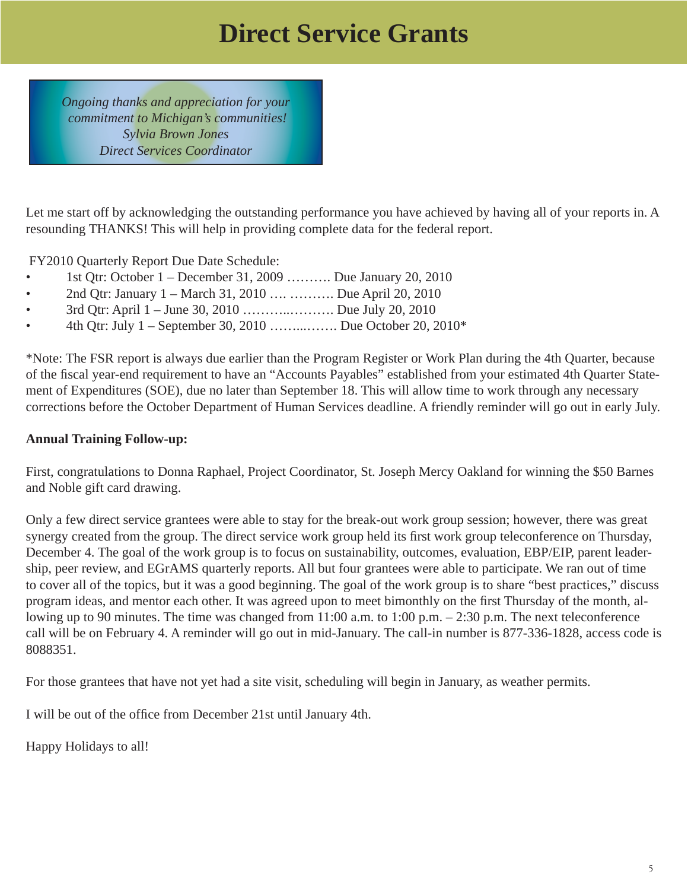### **Direct Service Grants**

<span id="page-4-0"></span>*Ongoing thanks and appreciation for your commitment to Michigan's communities! Sylvia Brown Jones Direct Services Coordinator*

Let me start off by acknowledging the outstanding performance you have achieved by having all of your reports in. A resounding THANKS! This will help in providing complete data for the federal report.

FY2010 Quarterly Report Due Date Schedule:

- 1st Qtr: October 1 December 31, 2009 ………. Due January 20, 2010
- 2nd Qtr: January 1 March 31, 2010 .... .......... Due April 20, 2010
- 3rd Qtr: April 1 June 30, 2010 ………..………. Due July 20, 2010
- 4th Qtr: July 1 September 30, 2010 ……...……. Due October 20, 2010\*

\*Note: The FSR report is always due earlier than the Program Register or Work Plan during the 4th Quarter, because of the fiscal year-end requirement to have an "Accounts Payables" established from your estimated 4th Quarter Statement of Expenditures (SOE), due no later than September 18. This will allow time to work through any necessary corrections before the October Department of Human Services deadline. A friendly reminder will go out in early July.

#### **Annual Training Follow-up:**

First, congratulations to Donna Raphael, Project Coordinator, St. Joseph Mercy Oakland for winning the \$50 Barnes and Noble gift card drawing.

Only a few direct service grantees were able to stay for the break-out work group session; however, there was great synergy created from the group. The direct service work group held its first work group teleconference on Thursday, December 4. The goal of the work group is to focus on sustainability, outcomes, evaluation, EBP/EIP, parent leadership, peer review, and EGrAMS quarterly reports. All but four grantees were able to participate. We ran out of time to cover all of the topics, but it was a good beginning. The goal of the work group is to share "best practices," discuss program ideas, and mentor each other. It was agreed upon to meet bimonthly on the first Thursday of the month, allowing up to 90 minutes. The time was changed from 11:00 a.m. to 1:00 p.m. – 2:30 p.m. The next teleconference call will be on February 4. A reminder will go out in mid-January. The call-in number is 877-336-1828, access code is 8088351.

For those grantees that have not yet had a site visit, scheduling will begin in January, as weather permits.

I will be out of the office from December 21st until January 4th.

Happy Holidays to all!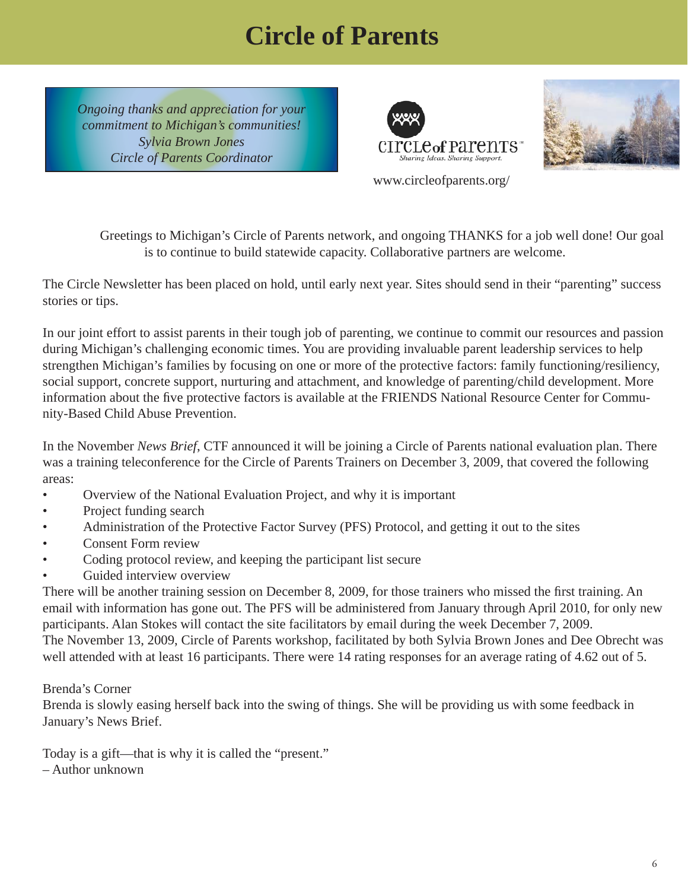## **Circle of Parents**

<span id="page-5-0"></span>*Ongoing thanks and appreciation for your commitment to Michigan's communities! Sylvia Brown Jones Circle of Parents Coordinator*





www.circleofparents.org/

 Greetings to Michigan's Circle of Parents network, and ongoing THANKS for a job well done! Our goal is to continue to build statewide capacity. Collaborative partners are welcome.

The Circle Newsletter has been placed on hold, until early next year. Sites should send in their "parenting" success stories or tips.

In our joint effort to assist parents in their tough job of parenting, we continue to commit our resources and passion during Michigan's challenging economic times. You are providing invaluable parent leadership services to help strengthen Michigan's families by focusing on one or more of the protective factors: family functioning/resiliency, social support, concrete support, nurturing and attachment, and knowledge of parenting/child development. More information about the five protective factors is available at the FRIENDS National Resource Center for Community-Based Child Abuse Prevention.

In the November *News Brief*, CTF announced it will be joining a Circle of Parents national evaluation plan. There was a training teleconference for the Circle of Parents Trainers on December 3, 2009, that covered the following areas:

- Overview of the National Evaluation Project, and why it is important
- Project funding search
- Administration of the Protective Factor Survey (PFS) Protocol, and getting it out to the sites
- Consent Form review
- Coding protocol review, and keeping the participant list secure
- Guided interview overview

There will be another training session on December 8, 2009, for those trainers who missed the first training. An email with information has gone out. The PFS will be administered from January through April 2010, for only new participants. Alan Stokes will contact the site facilitators by email during the week December 7, 2009. The November 13, 2009, Circle of Parents workshop, facilitated by both Sylvia Brown Jones and Dee Obrecht was well attended with at least 16 participants. There were 14 rating responses for an average rating of 4.62 out of 5.

#### Brenda's Corner

Brenda is slowly easing herself back into the swing of things. She will be providing us with some feedback in January's News Brief.

Today is a gift—that is why it is called the "present."

– Author unknown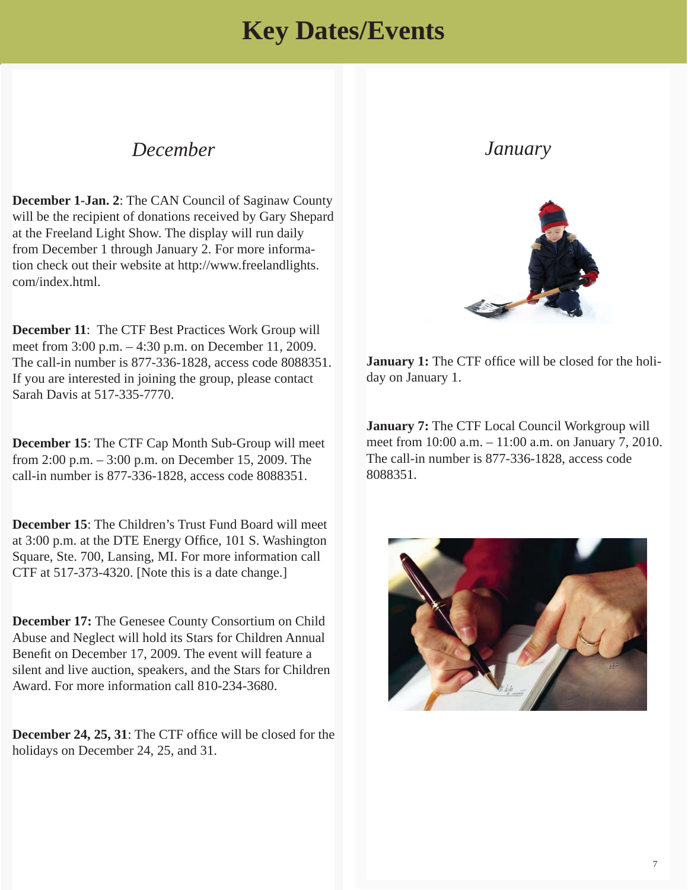### **Key Dates/Events**

### <span id="page-6-0"></span>*December*

**December 1-Jan. 2**: The CAN Council of Saginaw County will be the recipient of donations received by Gary Shepard at the Freeland Light Show. The display will run daily from December 1 through January 2. For more information check out their website a[t http://www.freelandlights.](http://www.freelandlights.com/index.html) com/index.html.

**December 11**: The CTF Best Practices Work Group will meet from 3:00 p.m. – 4:30 p.m. on December 11, 2009. The call-in number is 877-336-1828, access code 8088351. If you are interested in joining the group, please contact Sarah Davis at 517-335-7770.

**December 15**: The CTF Cap Month Sub-Group will meet from 2:00 p.m. – 3:00 p.m. on December 15, 2009. The call-in number is 877-336-1828, access code 8088351.

**December 15**: The Children's Trust Fund Board will meet at 3:00 p.m. at the DTE Energy Office, 101 S. Washington Square, Ste. 700, Lansing, MI. For more information call CTF at 517-373-4320. [Note this is a date change.]

**December 17:** The Genesee County Consortium on Child Abuse and Neglect will hold its Stars for Children Annual Benefit on December 17, 2009. The event will feature a [silent and live auction, speakers, and the Stars for Children](http://www.ccan-genesee.org/)  Award. For more information call 810-234-3680.

**December 24, 25, 31:** The CTF office will be closed for the holidays on December 24, 25, and 31.

### *January*



**January 1:** The CTF office will be closed for the holiday on January 1.

**January 7:** The CTF Local Council Workgroup will meet from 10:00 a.m. – 11:00 a.m. on January 7, 2010. The call-in number is 877-336-1828, access code 8088351.